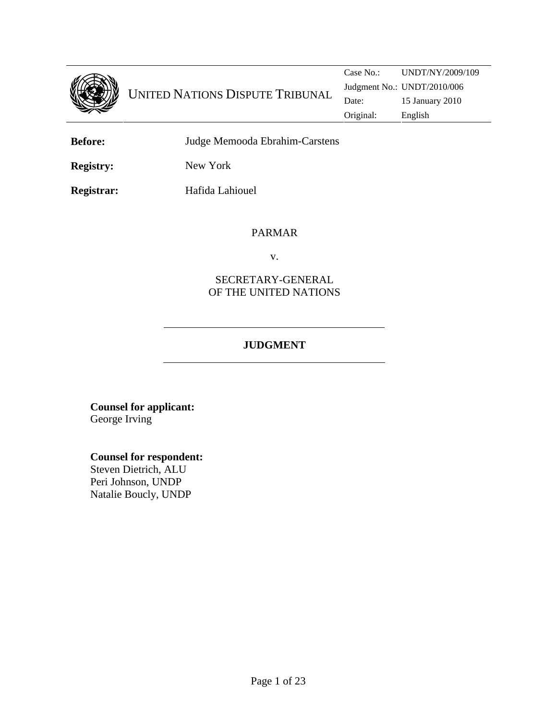

**Before:** Judge Memooda Ebrahim-Carstens

**Registry:** New York

**Registrar:** Hafida Lahiouel

PARMAR

v.

# SECRETARY-GENERAL OF THE UNITED NATIONS

# **JUDGMENT**

**Counsel for applicant:**  George Irving

**Counsel for respondent:**

Steven Dietrich, ALU Peri Johnson, UNDP Natalie Boucly, UNDP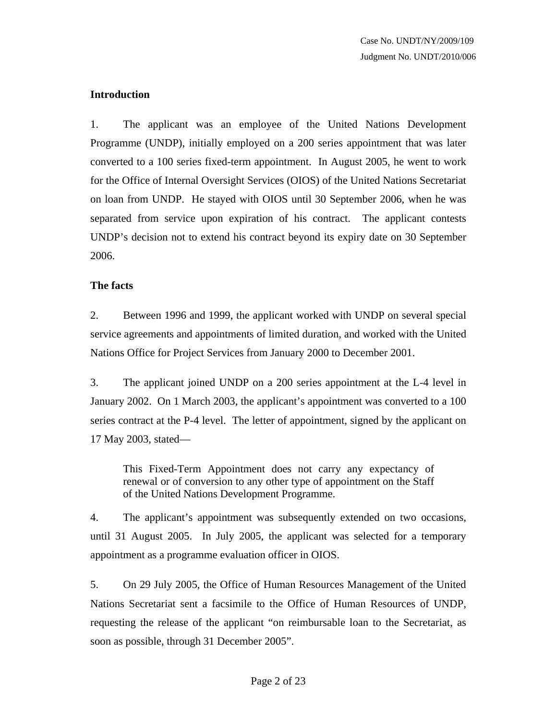# **Introduction**

1. The applicant was an employee of the United Nations Development Programme (UNDP), initially employed on a 200 series appointment that was later converted to a 100 series fixed-term appointment. In August 2005, he went to work for the Office of Internal Oversight Services (OIOS) of the United Nations Secretariat on loan from UNDP. He stayed with OIOS until 30 September 2006, when he was separated from service upon expiration of his contract. The applicant contests UNDP's decision not to extend his contract beyond its expiry date on 30 September 2006.

# **The facts**

2. Between 1996 and 1999, the applicant worked with UNDP on several special service agreements and appointments of limited duration, and worked with the United Nations Office for Project Services from January 2000 to December 2001.

3. The applicant joined UNDP on a 200 series appointment at the L-4 level in January 2002. On 1 March 2003, the applicant's appointment was converted to a 100 series contract at the P-4 level. The letter of appointment, signed by the applicant on 17 May 2003, stated—

This Fixed-Term Appointment does not carry any expectancy of renewal or of conversion to any other type of appointment on the Staff of the United Nations Development Programme.

4. The applicant's appointment was subsequently extended on two occasions, until 31 August 2005. In July 2005, the applicant was selected for a temporary appointment as a programme evaluation officer in OIOS.

5. On 29 July 2005, the Office of Human Resources Management of the United Nations Secretariat sent a facsimile to the Office of Human Resources of UNDP, requesting the release of the applicant "on reimbursable loan to the Secretariat, as soon as possible, through 31 December 2005".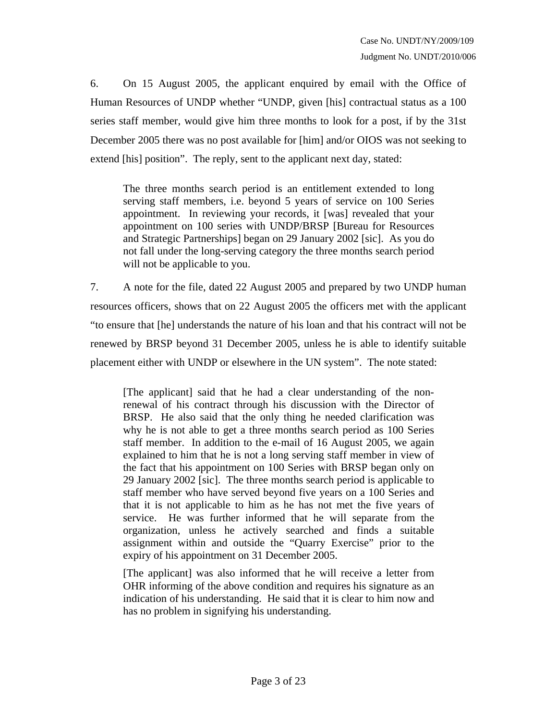6. On 15 August 2005, the applicant enquired by email with the Office of Human Resources of UNDP whether "UNDP, given [his] contractual status as a 100 series staff member, would give him three months to look for a post, if by the 31st December 2005 there was no post available for [him] and/or OIOS was not seeking to extend [his] position". The reply, sent to the applicant next day, stated:

The three months search period is an entitlement extended to long serving staff members, i.e. beyond 5 years of service on 100 Series appointment. In reviewing your records, it [was] revealed that your appointment on 100 series with UNDP/BRSP [Bureau for Resources and Strategic Partnerships] began on 29 January 2002 [sic]. As you do not fall under the long-serving category the three months search period will not be applicable to you.

7. A note for the file, dated 22 August 2005 and prepared by two UNDP human resources officers, shows that on 22 August 2005 the officers met with the applicant "to ensure that [he] understands the nature of his loan and that his contract will not be renewed by BRSP beyond 31 December 2005, unless he is able to identify suitable placement either with UNDP or elsewhere in the UN system". The note stated:

[The applicant] said that he had a clear understanding of the nonrenewal of his contract through his discussion with the Director of BRSP. He also said that the only thing he needed clarification was why he is not able to get a three months search period as 100 Series staff member. In addition to the e-mail of 16 August 2005, we again explained to him that he is not a long serving staff member in view of the fact that his appointment on 100 Series with BRSP began only on 29 January 2002 [sic]. The three months search period is applicable to staff member who have served beyond five years on a 100 Series and that it is not applicable to him as he has not met the five years of service. He was further informed that he will separate from the organization, unless he actively searched and finds a suitable assignment within and outside the "Quarry Exercise" prior to the expiry of his appointment on 31 December 2005.

[The applicant] was also informed that he will receive a letter from OHR informing of the above condition and requires his signature as an indication of his understanding. He said that it is clear to him now and has no problem in signifying his understanding.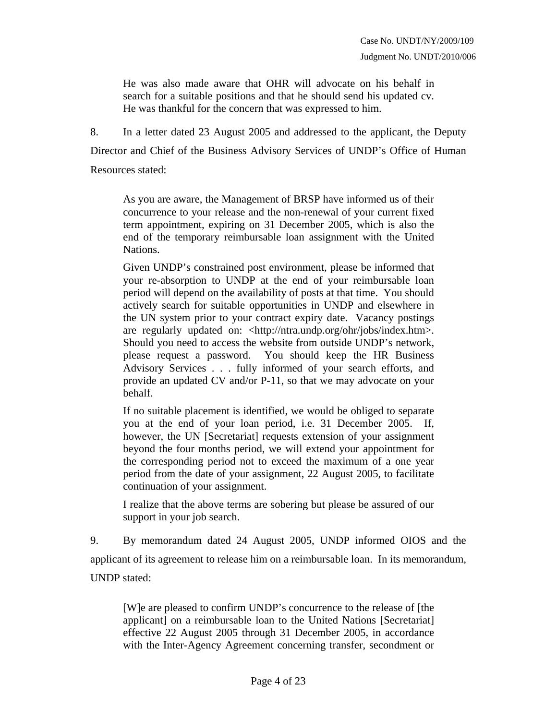He was also made aware that OHR will advocate on his behalf in search for a suitable positions and that he should send his updated cv. He was thankful for the concern that was expressed to him.

8. In a letter dated 23 August 2005 and addressed to the applicant, the Deputy Director and Chief of the Business Advisory Services of UNDP's Office of Human Resources stated:

As you are aware, the Management of BRSP have informed us of their concurrence to your release and the non-renewal of your current fixed term appointment, expiring on 31 December 2005, which is also the end of the temporary reimbursable loan assignment with the United Nations.

Given UNDP's constrained post environment, please be informed that your re-absorption to UNDP at the end of your reimbursable loan period will depend on the availability of posts at that time. You should actively search for suitable opportunities in UNDP and elsewhere in the UN system prior to your contract expiry date. Vacancy postings are regularly updated on: <http://ntra.undp.org/ohr/jobs/index.htm>. Should you need to access the website from outside UNDP's network, please request a password. You should keep the HR Business Advisory Services . . . fully informed of your search efforts, and provide an updated CV and/or P-11, so that we may advocate on your behalf.

If no suitable placement is identified, we would be obliged to separate you at the end of your loan period, i.e. 31 December 2005. If, however, the UN [Secretariat] requests extension of your assignment beyond the four months period, we will extend your appointment for the corresponding period not to exceed the maximum of a one year period from the date of your assignment, 22 August 2005, to facilitate continuation of your assignment.

I realize that the above terms are sobering but please be assured of our support in your job search.

9. By memorandum dated 24 August 2005, UNDP informed OIOS and the applicant of its agreement to release him on a reimbursable loan. In its memorandum, UNDP stated:

[W]e are pleased to confirm UNDP's concurrence to the release of [the applicant] on a reimbursable loan to the United Nations [Secretariat] effective 22 August 2005 through 31 December 2005, in accordance with the Inter-Agency Agreement concerning transfer, secondment or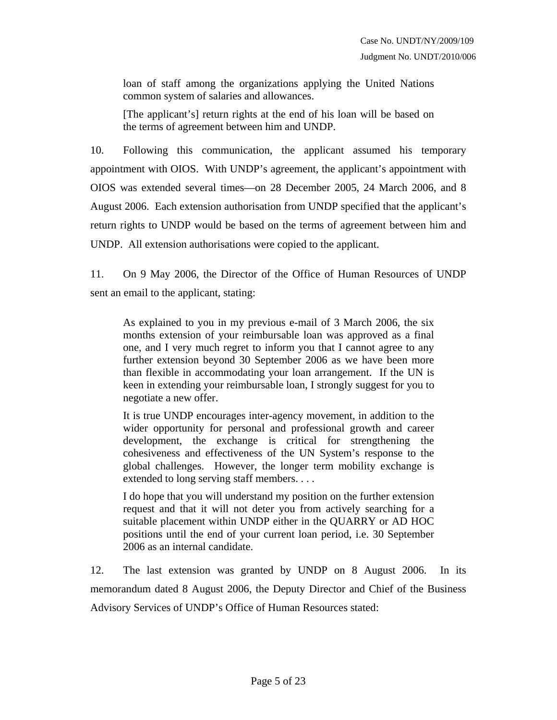loan of staff among the organizations applying the United Nations common system of salaries and allowances.

[The applicant's] return rights at the end of his loan will be based on the terms of agreement between him and UNDP.

10. Following this communication, the applicant assumed his temporary appointment with OIOS. With UNDP's agreement, the applicant's appointment with OIOS was extended several times—on 28 December 2005, 24 March 2006, and 8 August 2006. Each extension authorisation from UNDP specified that the applicant's return rights to UNDP would be based on the terms of agreement between him and UNDP. All extension authorisations were copied to the applicant.

11. On 9 May 2006, the Director of the Office of Human Resources of UNDP sent an email to the applicant, stating:

As explained to you in my previous e-mail of 3 March 2006, the six months extension of your reimbursable loan was approved as a final one, and I very much regret to inform you that I cannot agree to any further extension beyond 30 September 2006 as we have been more than flexible in accommodating your loan arrangement. If the UN is keen in extending your reimbursable loan, I strongly suggest for you to negotiate a new offer.

It is true UNDP encourages inter-agency movement, in addition to the wider opportunity for personal and professional growth and career development, the exchange is critical for strengthening the cohesiveness and effectiveness of the UN System's response to the global challenges. However, the longer term mobility exchange is extended to long serving staff members. . . .

I do hope that you will understand my position on the further extension request and that it will not deter you from actively searching for a suitable placement within UNDP either in the QUARRY or AD HOC positions until the end of your current loan period, i.e. 30 September 2006 as an internal candidate.

12. The last extension was granted by UNDP on 8 August 2006. In its memorandum dated 8 August 2006, the Deputy Director and Chief of the Business Advisory Services of UNDP's Office of Human Resources stated: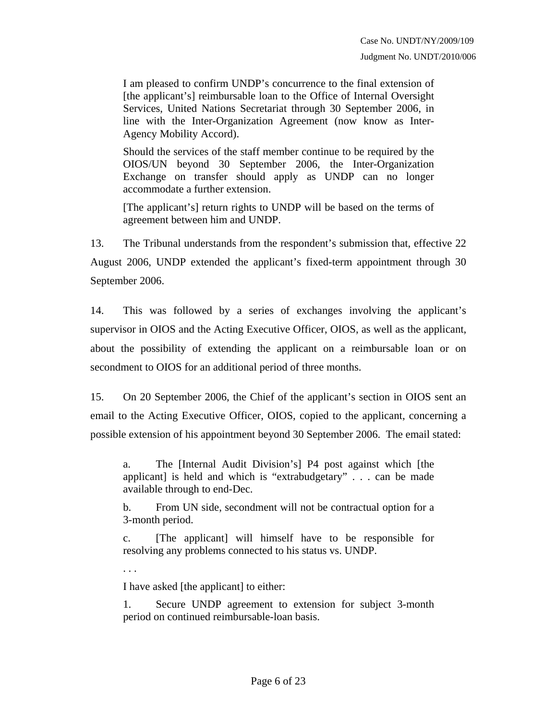I am pleased to confirm UNDP's concurrence to the final extension of [the applicant's] reimbursable loan to the Office of Internal Oversight Services, United Nations Secretariat through 30 September 2006, in line with the Inter-Organization Agreement (now know as Inter-Agency Mobility Accord).

Should the services of the staff member continue to be required by the OIOS/UN beyond 30 September 2006, the Inter-Organization Exchange on transfer should apply as UNDP can no longer accommodate a further extension.

[The applicant's] return rights to UNDP will be based on the terms of agreement between him and UNDP.

13. The Tribunal understands from the respondent's submission that, effective 22 August 2006, UNDP extended the applicant's fixed-term appointment through 30 September 2006.

14. This was followed by a series of exchanges involving the applicant's supervisor in OIOS and the Acting Executive Officer, OIOS, as well as the applicant, about the possibility of extending the applicant on a reimbursable loan or on secondment to OIOS for an additional period of three months.

15. On 20 September 2006, the Chief of the applicant's section in OIOS sent an email to the Acting Executive Officer, OIOS, copied to the applicant, concerning a possible extension of his appointment beyond 30 September 2006. The email stated:

a. The [Internal Audit Division's] P4 post against which [the applicant] is held and which is "extrabudgetary" . . . can be made available through to end-Dec.

b. From UN side, secondment will not be contractual option for a 3-month period.

c. [The applicant] will himself have to be responsible for resolving any problems connected to his status vs. UNDP.

I have asked [the applicant] to either:

. . .

1. Secure UNDP agreement to extension for subject 3-month period on continued reimbursable-loan basis.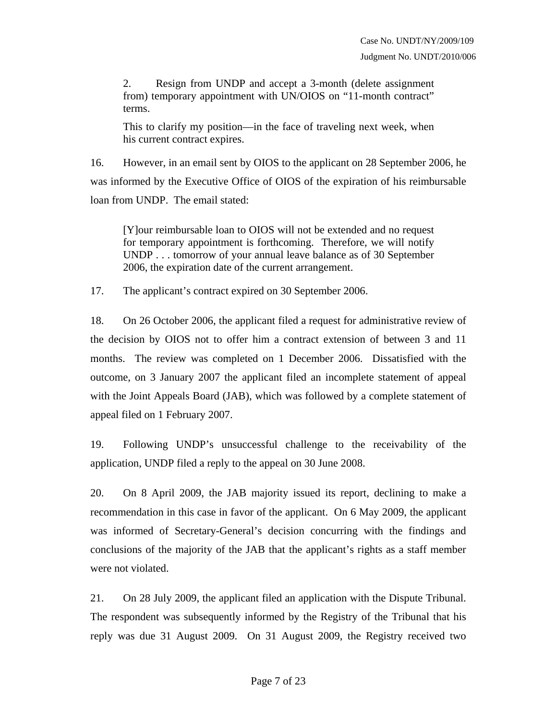2. Resign from UNDP and accept a 3-month (delete assignment from) temporary appointment with UN/OIOS on "11-month contract" terms.

This to clarify my position—in the face of traveling next week, when his current contract expires.

16. However, in an email sent by OIOS to the applicant on 28 September 2006, he was informed by the Executive Office of OIOS of the expiration of his reimbursable loan from UNDP. The email stated:

[Y]our reimbursable loan to OIOS will not be extended and no request for temporary appointment is forthcoming. Therefore, we will notify UNDP . . . tomorrow of your annual leave balance as of 30 September 2006, the expiration date of the current arrangement.

17. The applicant's contract expired on 30 September 2006.

18. On 26 October 2006, the applicant filed a request for administrative review of the decision by OIOS not to offer him a contract extension of between 3 and 11 months. The review was completed on 1 December 2006. Dissatisfied with the outcome, on 3 January 2007 the applicant filed an incomplete statement of appeal with the Joint Appeals Board (JAB), which was followed by a complete statement of appeal filed on 1 February 2007.

19. Following UNDP's unsuccessful challenge to the receivability of the application, UNDP filed a reply to the appeal on 30 June 2008.

20. On 8 April 2009, the JAB majority issued its report, declining to make a recommendation in this case in favor of the applicant. On 6 May 2009, the applicant was informed of Secretary-General's decision concurring with the findings and conclusions of the majority of the JAB that the applicant's rights as a staff member were not violated.

21. On 28 July 2009, the applicant filed an application with the Dispute Tribunal. The respondent was subsequently informed by the Registry of the Tribunal that his reply was due 31 August 2009. On 31 August 2009, the Registry received two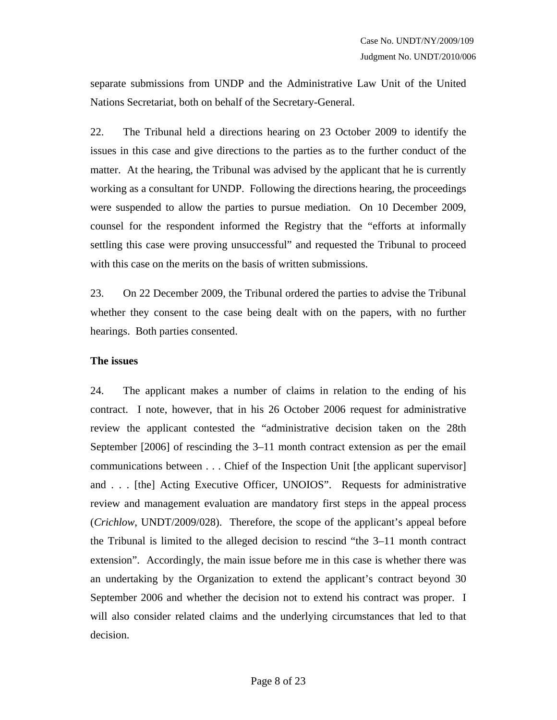separate submissions from UNDP and the Administrative Law Unit of the United Nations Secretariat, both on behalf of the Secretary-General.

22. The Tribunal held a directions hearing on 23 October 2009 to identify the issues in this case and give directions to the parties as to the further conduct of the matter. At the hearing, the Tribunal was advised by the applicant that he is currently working as a consultant for UNDP. Following the directions hearing, the proceedings were suspended to allow the parties to pursue mediation. On 10 December 2009, counsel for the respondent informed the Registry that the "efforts at informally settling this case were proving unsuccessful" and requested the Tribunal to proceed with this case on the merits on the basis of written submissions.

23. On 22 December 2009, the Tribunal ordered the parties to advise the Tribunal whether they consent to the case being dealt with on the papers, with no further hearings. Both parties consented.

#### **The issues**

24. The applicant makes a number of claims in relation to the ending of his contract. I note, however, that in his 26 October 2006 request for administrative review the applicant contested the "administrative decision taken on the 28th September [2006] of rescinding the 3–11 month contract extension as per the email communications between . . . Chief of the Inspection Unit [the applicant supervisor] and . . . [the] Acting Executive Officer, UNOIOS". Requests for administrative review and management evaluation are mandatory first steps in the appeal process (*Crichlow*, UNDT/2009/028). Therefore, the scope of the applicant's appeal before the Tribunal is limited to the alleged decision to rescind "the 3–11 month contract extension". Accordingly, the main issue before me in this case is whether there was an undertaking by the Organization to extend the applicant's contract beyond 30 September 2006 and whether the decision not to extend his contract was proper. I will also consider related claims and the underlying circumstances that led to that decision.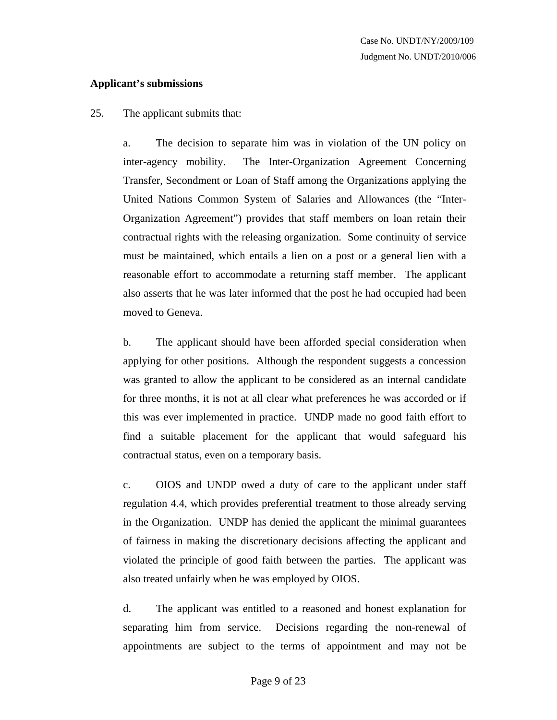### **Applicant's submissions**

## 25. The applicant submits that:

a. The decision to separate him was in violation of the UN policy on inter-agency mobility. The Inter-Organization Agreement Concerning Transfer, Secondment or Loan of Staff among the Organizations applying the United Nations Common System of Salaries and Allowances (the "Inter-Organization Agreement") provides that staff members on loan retain their contractual rights with the releasing organization. Some continuity of service must be maintained, which entails a lien on a post or a general lien with a reasonable effort to accommodate a returning staff member. The applicant also asserts that he was later informed that the post he had occupied had been moved to Geneva.

b. The applicant should have been afforded special consideration when applying for other positions. Although the respondent suggests a concession was granted to allow the applicant to be considered as an internal candidate for three months, it is not at all clear what preferences he was accorded or if this was ever implemented in practice. UNDP made no good faith effort to find a suitable placement for the applicant that would safeguard his contractual status, even on a temporary basis.

c. OIOS and UNDP owed a duty of care to the applicant under staff regulation 4.4, which provides preferential treatment to those already serving in the Organization. UNDP has denied the applicant the minimal guarantees of fairness in making the discretionary decisions affecting the applicant and violated the principle of good faith between the parties. The applicant was also treated unfairly when he was employed by OIOS.

d. The applicant was entitled to a reasoned and honest explanation for separating him from service. Decisions regarding the non-renewal of appointments are subject to the terms of appointment and may not be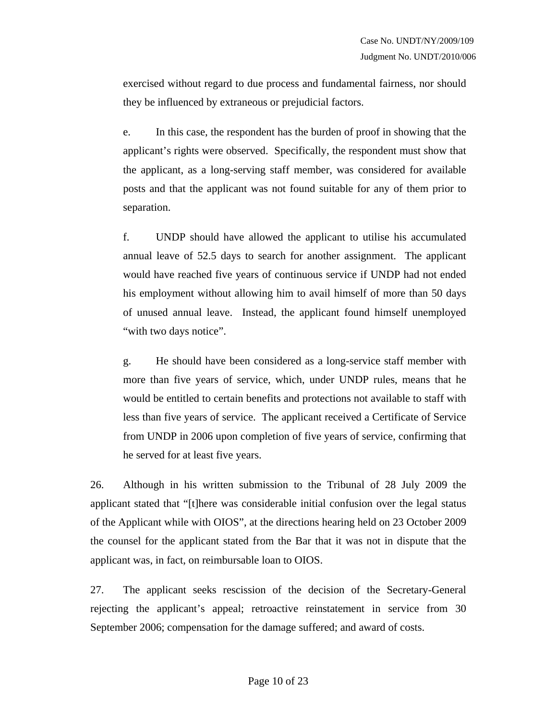exercised without regard to due process and fundamental fairness, nor should they be influenced by extraneous or prejudicial factors.

e. In this case, the respondent has the burden of proof in showing that the applicant's rights were observed. Specifically, the respondent must show that the applicant, as a long-serving staff member, was considered for available posts and that the applicant was not found suitable for any of them prior to separation.

f. UNDP should have allowed the applicant to utilise his accumulated annual leave of 52.5 days to search for another assignment. The applicant would have reached five years of continuous service if UNDP had not ended his employment without allowing him to avail himself of more than 50 days of unused annual leave. Instead, the applicant found himself unemployed "with two days notice".

g. He should have been considered as a long-service staff member with more than five years of service, which, under UNDP rules, means that he would be entitled to certain benefits and protections not available to staff with less than five years of service. The applicant received a Certificate of Service from UNDP in 2006 upon completion of five years of service, confirming that he served for at least five years.

26. Although in his written submission to the Tribunal of 28 July 2009 the applicant stated that "[t]here was considerable initial confusion over the legal status of the Applicant while with OIOS", at the directions hearing held on 23 October 2009 the counsel for the applicant stated from the Bar that it was not in dispute that the applicant was, in fact, on reimbursable loan to OIOS.

27. The applicant seeks rescission of the decision of the Secretary-General rejecting the applicant's appeal; retroactive reinstatement in service from 30 September 2006; compensation for the damage suffered; and award of costs.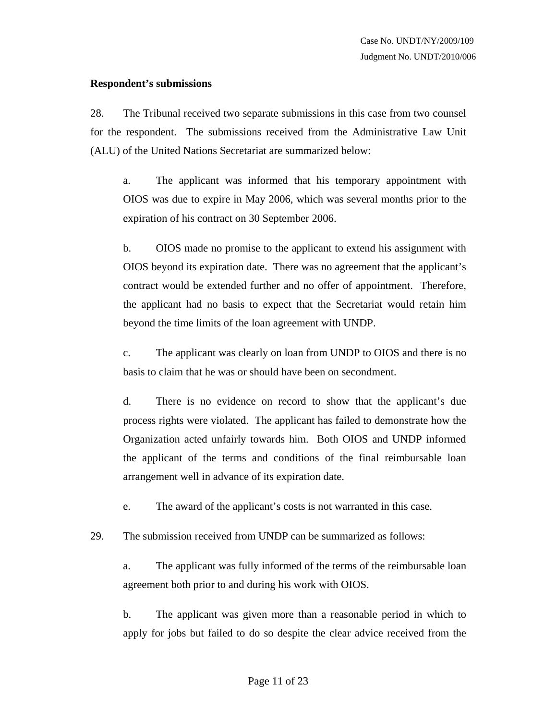#### **Respondent's submissions**

28. The Tribunal received two separate submissions in this case from two counsel for the respondent. The submissions received from the Administrative Law Unit (ALU) of the United Nations Secretariat are summarized below:

a. The applicant was informed that his temporary appointment with OIOS was due to expire in May 2006, which was several months prior to the expiration of his contract on 30 September 2006.

b. OIOS made no promise to the applicant to extend his assignment with OIOS beyond its expiration date. There was no agreement that the applicant's contract would be extended further and no offer of appointment. Therefore, the applicant had no basis to expect that the Secretariat would retain him beyond the time limits of the loan agreement with UNDP.

c. The applicant was clearly on loan from UNDP to OIOS and there is no basis to claim that he was or should have been on secondment.

d. There is no evidence on record to show that the applicant's due process rights were violated. The applicant has failed to demonstrate how the Organization acted unfairly towards him. Both OIOS and UNDP informed the applicant of the terms and conditions of the final reimbursable loan arrangement well in advance of its expiration date.

e. The award of the applicant's costs is not warranted in this case.

29. The submission received from UNDP can be summarized as follows:

a. The applicant was fully informed of the terms of the reimbursable loan agreement both prior to and during his work with OIOS.

b. The applicant was given more than a reasonable period in which to apply for jobs but failed to do so despite the clear advice received from the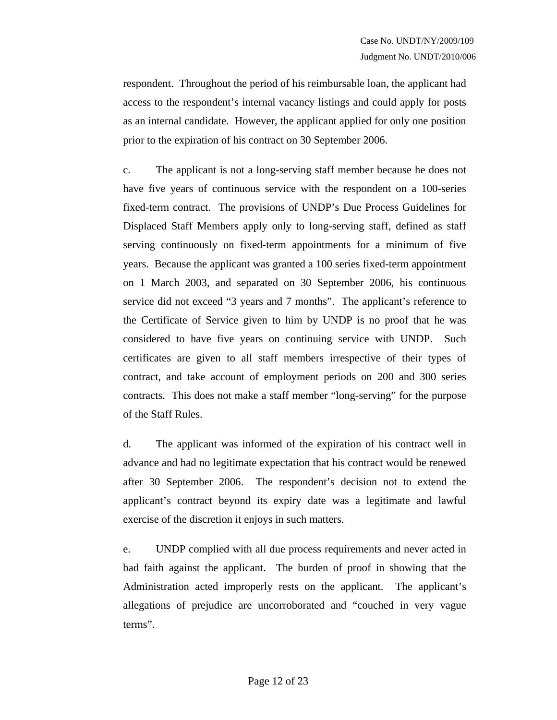respondent. Throughout the period of his reimbursable loan, the applicant had access to the respondent's internal vacancy listings and could apply for posts as an internal candidate. However, the applicant applied for only one position prior to the expiration of his contract on 30 September 2006.

c. The applicant is not a long-serving staff member because he does not have five years of continuous service with the respondent on a 100-series fixed-term contract. The provisions of UNDP's Due Process Guidelines for Displaced Staff Members apply only to long-serving staff, defined as staff serving continuously on fixed-term appointments for a minimum of five years. Because the applicant was granted a 100 series fixed-term appointment on 1 March 2003, and separated on 30 September 2006, his continuous service did not exceed "3 years and 7 months". The applicant's reference to the Certificate of Service given to him by UNDP is no proof that he was considered to have five years on continuing service with UNDP. Such certificates are given to all staff members irrespective of their types of contract, and take account of employment periods on 200 and 300 series contracts. This does not make a staff member "long-serving" for the purpose of the Staff Rules.

d. The applicant was informed of the expiration of his contract well in advance and had no legitimate expectation that his contract would be renewed after 30 September 2006. The respondent's decision not to extend the applicant's contract beyond its expiry date was a legitimate and lawful exercise of the discretion it enjoys in such matters.

e. UNDP complied with all due process requirements and never acted in bad faith against the applicant. The burden of proof in showing that the Administration acted improperly rests on the applicant. The applicant's allegations of prejudice are uncorroborated and "couched in very vague terms".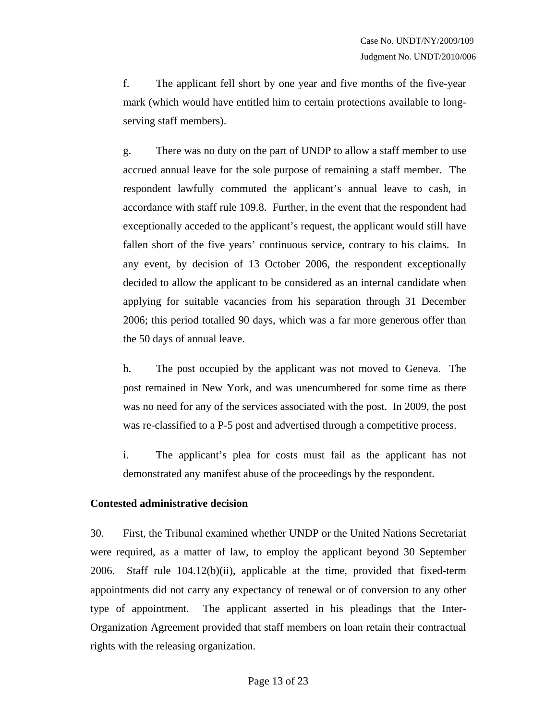f. The applicant fell short by one year and five months of the five-year mark (which would have entitled him to certain protections available to longserving staff members).

g. There was no duty on the part of UNDP to allow a staff member to use accrued annual leave for the sole purpose of remaining a staff member. The respondent lawfully commuted the applicant's annual leave to cash, in accordance with staff rule 109.8. Further, in the event that the respondent had exceptionally acceded to the applicant's request, the applicant would still have fallen short of the five years' continuous service, contrary to his claims. In any event, by decision of 13 October 2006, the respondent exceptionally decided to allow the applicant to be considered as an internal candidate when applying for suitable vacancies from his separation through 31 December 2006; this period totalled 90 days, which was a far more generous offer than the 50 days of annual leave.

h. The post occupied by the applicant was not moved to Geneva. The post remained in New York, and was unencumbered for some time as there was no need for any of the services associated with the post. In 2009, the post was re-classified to a P-5 post and advertised through a competitive process.

i. The applicant's plea for costs must fail as the applicant has not demonstrated any manifest abuse of the proceedings by the respondent.

#### **Contested administrative decision**

30. First, the Tribunal examined whether UNDP or the United Nations Secretariat were required, as a matter of law, to employ the applicant beyond 30 September 2006. Staff rule 104.12(b)(ii), applicable at the time, provided that fixed-term appointments did not carry any expectancy of renewal or of conversion to any other type of appointment. The applicant asserted in his pleadings that the Inter-Organization Agreement provided that staff members on loan retain their contractual rights with the releasing organization.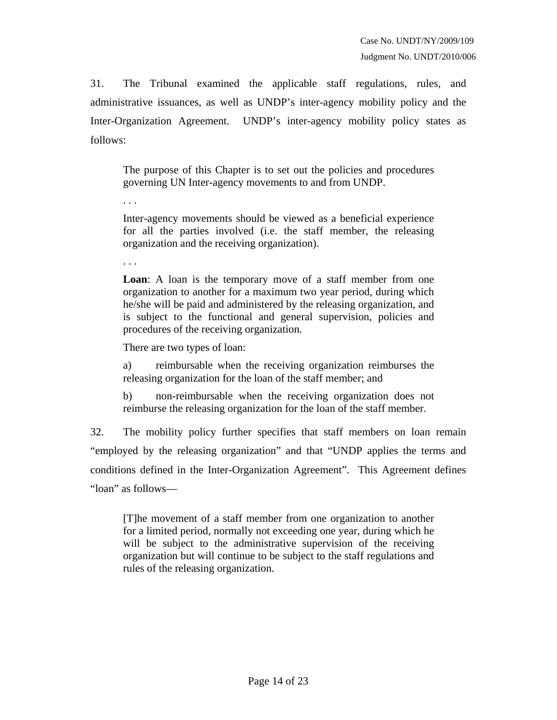31. The Tribunal examined the applicable staff regulations, rules, and administrative issuances, as well as UNDP's inter-agency mobility policy and the Inter-Organization Agreement. UNDP's inter-agency mobility policy states as follows:

The purpose of this Chapter is to set out the policies and procedures governing UN Inter-agency movements to and from UNDP.

Inter-agency movements should be viewed as a beneficial experience for all the parties involved (i.e. the staff member, the releasing organization and the receiving organization).

. . .

. . .

**Loan**: A loan is the temporary move of a staff member from one organization to another for a maximum two year period, during which he/she will be paid and administered by the releasing organization, and is subject to the functional and general supervision, policies and procedures of the receiving organization.

There are two types of loan:

a) reimbursable when the receiving organization reimburses the releasing organization for the loan of the staff member; and

b) non-reimbursable when the receiving organization does not reimburse the releasing organization for the loan of the staff member.

32. The mobility policy further specifies that staff members on loan remain "employed by the releasing organization" and that "UNDP applies the terms and conditions defined in the Inter-Organization Agreement". This Agreement defines "loan" as follows—

[T]he movement of a staff member from one organization to another for a limited period, normally not exceeding one year, during which he will be subject to the administrative supervision of the receiving organization but will continue to be subject to the staff regulations and rules of the releasing organization.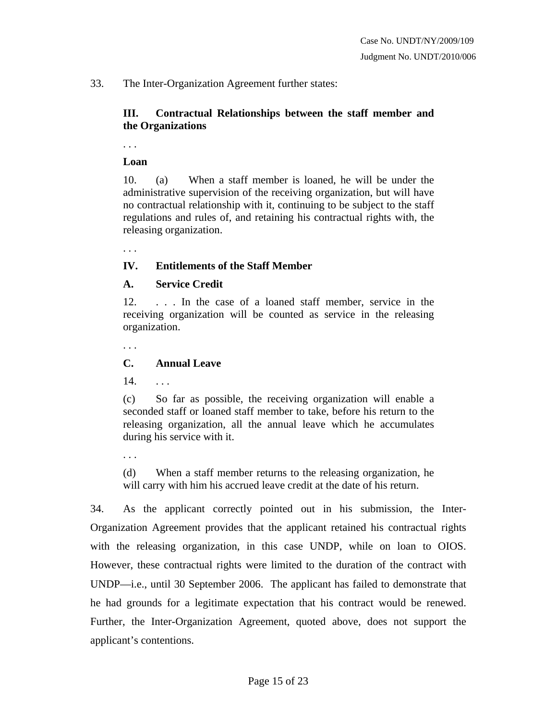### 33. The Inter-Organization Agreement further states:

### **III. Contractual Relationships between the staff member and the Organizations**

. . .

#### **Loan**

10. (a) When a staff member is loaned, he will be under the administrative supervision of the receiving organization, but will have no contractual relationship with it, continuing to be subject to the staff regulations and rules of, and retaining his contractual rights with, the releasing organization.

. . .

# **IV. Entitlements of the Staff Member**

### **A. Service Credit**

12. . . . In the case of a loaned staff member, service in the receiving organization will be counted as service in the releasing organization.

. . .

### **C. Annual Leave**

14. . . .

(c) So far as possible, the receiving organization will enable a seconded staff or loaned staff member to take, before his return to the releasing organization, all the annual leave which he accumulates during his service with it.

. . .

(d) When a staff member returns to the releasing organization, he will carry with him his accrued leave credit at the date of his return.

34. As the applicant correctly pointed out in his submission, the Inter-Organization Agreement provides that the applicant retained his contractual rights with the releasing organization, in this case UNDP, while on loan to OIOS. However, these contractual rights were limited to the duration of the contract with UNDP—i.e., until 30 September 2006. The applicant has failed to demonstrate that he had grounds for a legitimate expectation that his contract would be renewed. Further, the Inter-Organization Agreement, quoted above, does not support the applicant's contentions.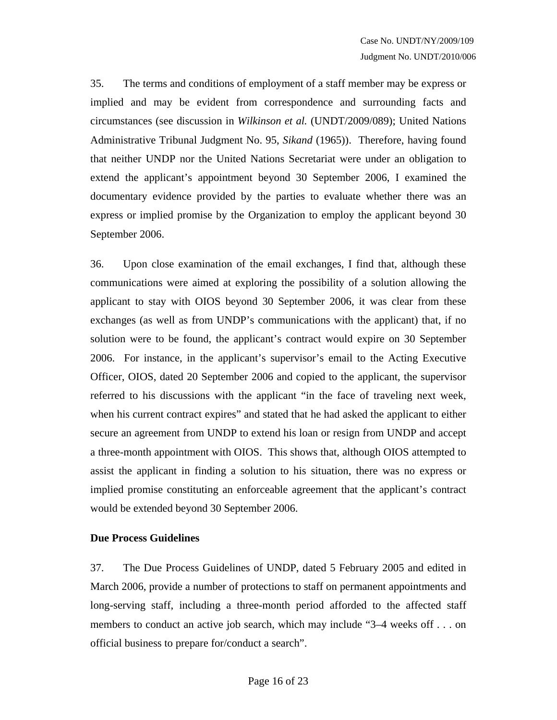35. The terms and conditions of employment of a staff member may be express or implied and may be evident from correspondence and surrounding facts and circumstances (see discussion in *Wilkinson et al.* (UNDT/2009/089); United Nations Administrative Tribunal Judgment No. 95, *Sikand* (1965)). Therefore, having found that neither UNDP nor the United Nations Secretariat were under an obligation to extend the applicant's appointment beyond 30 September 2006, I examined the documentary evidence provided by the parties to evaluate whether there was an express or implied promise by the Organization to employ the applicant beyond 30 September 2006.

36. Upon close examination of the email exchanges, I find that, although these communications were aimed at exploring the possibility of a solution allowing the applicant to stay with OIOS beyond 30 September 2006, it was clear from these exchanges (as well as from UNDP's communications with the applicant) that, if no solution were to be found, the applicant's contract would expire on 30 September 2006. For instance, in the applicant's supervisor's email to the Acting Executive Officer, OIOS, dated 20 September 2006 and copied to the applicant, the supervisor referred to his discussions with the applicant "in the face of traveling next week, when his current contract expires" and stated that he had asked the applicant to either secure an agreement from UNDP to extend his loan or resign from UNDP and accept a three-month appointment with OIOS. This shows that, although OIOS attempted to assist the applicant in finding a solution to his situation, there was no express or implied promise constituting an enforceable agreement that the applicant's contract would be extended beyond 30 September 2006.

#### **Due Process Guidelines**

37. The Due Process Guidelines of UNDP, dated 5 February 2005 and edited in March 2006, provide a number of protections to staff on permanent appointments and long-serving staff, including a three-month period afforded to the affected staff members to conduct an active job search, which may include "3–4 weeks off . . . on official business to prepare for/conduct a search".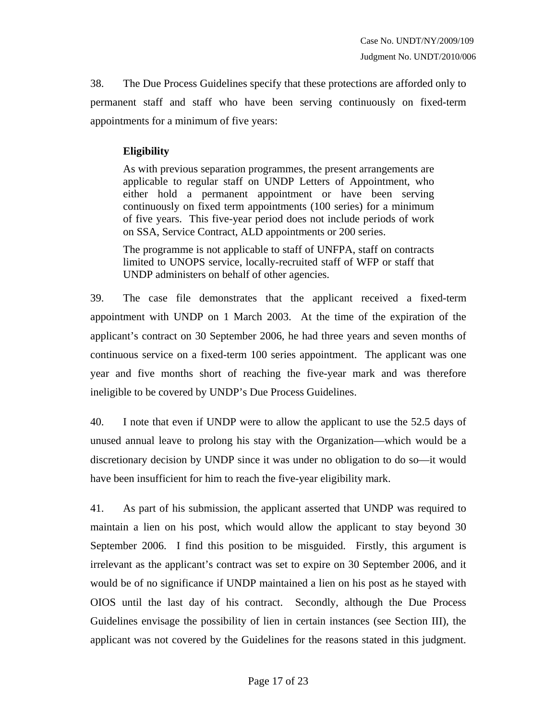38. The Due Process Guidelines specify that these protections are afforded only to permanent staff and staff who have been serving continuously on fixed-term appointments for a minimum of five years:

# **Eligibility**

As with previous separation programmes, the present arrangements are applicable to regular staff on UNDP Letters of Appointment, who either hold a permanent appointment or have been serving continuously on fixed term appointments (100 series) for a minimum of five years. This five-year period does not include periods of work on SSA, Service Contract, ALD appointments or 200 series.

The programme is not applicable to staff of UNFPA, staff on contracts limited to UNOPS service, locally-recruited staff of WFP or staff that UNDP administers on behalf of other agencies.

39. The case file demonstrates that the applicant received a fixed-term appointment with UNDP on 1 March 2003. At the time of the expiration of the applicant's contract on 30 September 2006, he had three years and seven months of continuous service on a fixed-term 100 series appointment. The applicant was one year and five months short of reaching the five-year mark and was therefore ineligible to be covered by UNDP's Due Process Guidelines.

40. I note that even if UNDP were to allow the applicant to use the 52.5 days of unused annual leave to prolong his stay with the Organization—which would be a discretionary decision by UNDP since it was under no obligation to do so—it would have been insufficient for him to reach the five-year eligibility mark.

41. As part of his submission, the applicant asserted that UNDP was required to maintain a lien on his post, which would allow the applicant to stay beyond 30 September 2006. I find this position to be misguided. Firstly, this argument is irrelevant as the applicant's contract was set to expire on 30 September 2006, and it would be of no significance if UNDP maintained a lien on his post as he stayed with OIOS until the last day of his contract. Secondly, although the Due Process Guidelines envisage the possibility of lien in certain instances (see Section III), the applicant was not covered by the Guidelines for the reasons stated in this judgment.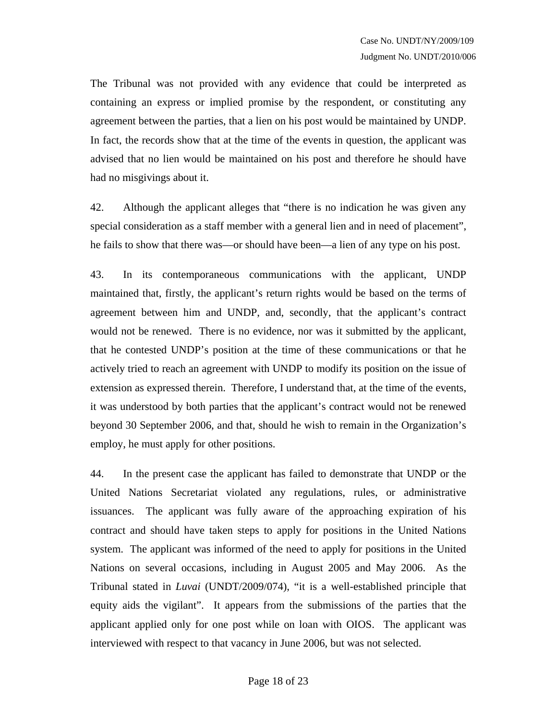The Tribunal was not provided with any evidence that could be interpreted as containing an express or implied promise by the respondent, or constituting any agreement between the parties, that a lien on his post would be maintained by UNDP. In fact, the records show that at the time of the events in question, the applicant was advised that no lien would be maintained on his post and therefore he should have had no misgivings about it.

42. Although the applicant alleges that "there is no indication he was given any special consideration as a staff member with a general lien and in need of placement", he fails to show that there was—or should have been—a lien of any type on his post.

43. In its contemporaneous communications with the applicant, UNDP maintained that, firstly, the applicant's return rights would be based on the terms of agreement between him and UNDP, and, secondly, that the applicant's contract would not be renewed. There is no evidence, nor was it submitted by the applicant, that he contested UNDP's position at the time of these communications or that he actively tried to reach an agreement with UNDP to modify its position on the issue of extension as expressed therein. Therefore, I understand that, at the time of the events, it was understood by both parties that the applicant's contract would not be renewed beyond 30 September 2006, and that, should he wish to remain in the Organization's employ, he must apply for other positions.

44. In the present case the applicant has failed to demonstrate that UNDP or the United Nations Secretariat violated any regulations, rules, or administrative issuances. The applicant was fully aware of the approaching expiration of his contract and should have taken steps to apply for positions in the United Nations system. The applicant was informed of the need to apply for positions in the United Nations on several occasions, including in August 2005 and May 2006. As the Tribunal stated in *Luvai* (UNDT/2009/074), "it is a well-established principle that equity aids the vigilant". It appears from the submissions of the parties that the applicant applied only for one post while on loan with OIOS. The applicant was interviewed with respect to that vacancy in June 2006, but was not selected.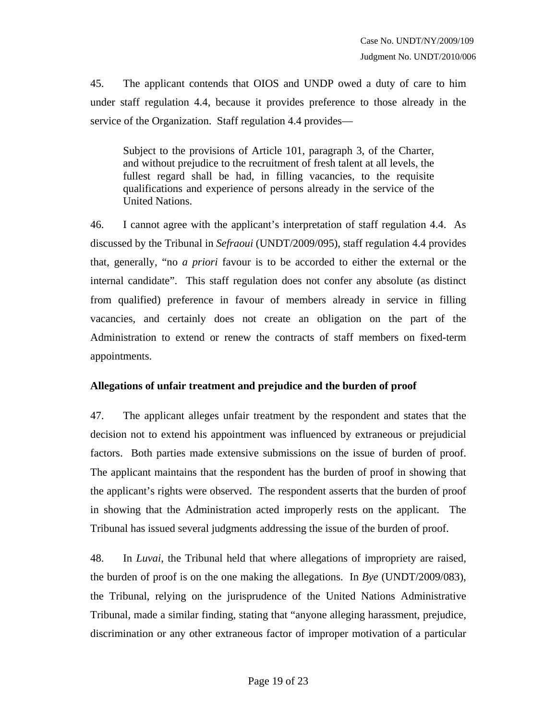45. The applicant contends that OIOS and UNDP owed a duty of care to him under staff regulation 4.4, because it provides preference to those already in the service of the Organization. Staff regulation 4.4 provides—

Subject to the provisions of Article 101, paragraph 3, of the Charter, and without prejudice to the recruitment of fresh talent at all levels, the fullest regard shall be had, in filling vacancies, to the requisite qualifications and experience of persons already in the service of the United Nations.

46. I cannot agree with the applicant's interpretation of staff regulation 4.4. As discussed by the Tribunal in *Sefraoui* (UNDT/2009/095), staff regulation 4.4 provides that, generally, "no *a priori* favour is to be accorded to either the external or the internal candidate". This staff regulation does not confer any absolute (as distinct from qualified) preference in favour of members already in service in filling vacancies, and certainly does not create an obligation on the part of the Administration to extend or renew the contracts of staff members on fixed-term appointments.

# **Allegations of unfair treatment and prejudice and the burden of proof**

47. The applicant alleges unfair treatment by the respondent and states that the decision not to extend his appointment was influenced by extraneous or prejudicial factors. Both parties made extensive submissions on the issue of burden of proof. The applicant maintains that the respondent has the burden of proof in showing that the applicant's rights were observed. The respondent asserts that the burden of proof in showing that the Administration acted improperly rests on the applicant. The Tribunal has issued several judgments addressing the issue of the burden of proof.

48. In *Luvai*, the Tribunal held that where allegations of impropriety are raised, the burden of proof is on the one making the allegations. In *Bye* (UNDT/2009/083), the Tribunal, relying on the jurisprudence of the United Nations Administrative Tribunal, made a similar finding, stating that "anyone alleging harassment, prejudice, discrimination or any other extraneous factor of improper motivation of a particular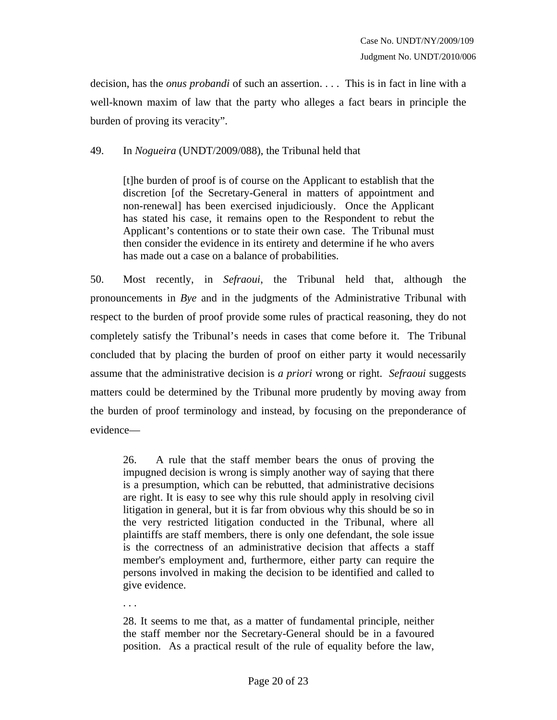decision, has the *onus probandi* of such an assertion. . . . This is in fact in line with a well-known maxim of law that the party who alleges a fact bears in principle the burden of proving its veracity".

49. In *Nogueira* (UNDT/2009/088), the Tribunal held that

[t]he burden of proof is of course on the Applicant to establish that the discretion [of the Secretary-General in matters of appointment and non-renewal] has been exercised injudiciously. Once the Applicant has stated his case, it remains open to the Respondent to rebut the Applicant's contentions or to state their own case. The Tribunal must then consider the evidence in its entirety and determine if he who avers has made out a case on a balance of probabilities.

50. Most recently, in *Sefraoui*, the Tribunal held that, although the pronouncements in *Bye* and in the judgments of the Administrative Tribunal with respect to the burden of proof provide some rules of practical reasoning, they do not completely satisfy the Tribunal's needs in cases that come before it. The Tribunal concluded that by placing the burden of proof on either party it would necessarily assume that the administrative decision is *a priori* wrong or right. *Sefraoui* suggests matters could be determined by the Tribunal more prudently by moving away from the burden of proof terminology and instead, by focusing on the preponderance of evidence—

26. A rule that the staff member bears the onus of proving the impugned decision is wrong is simply another way of saying that there is a presumption, which can be rebutted, that administrative decisions are right. It is easy to see why this rule should apply in resolving civil litigation in general, but it is far from obvious why this should be so in the very restricted litigation conducted in the Tribunal, where all plaintiffs are staff members, there is only one defendant, the sole issue is the correctness of an administrative decision that affects a staff member's employment and, furthermore, either party can require the persons involved in making the decision to be identified and called to give evidence.

28. It seems to me that, as a matter of fundamental principle, neither the staff member nor the Secretary-General should be in a favoured position. As a practical result of the rule of equality before the law,

. . .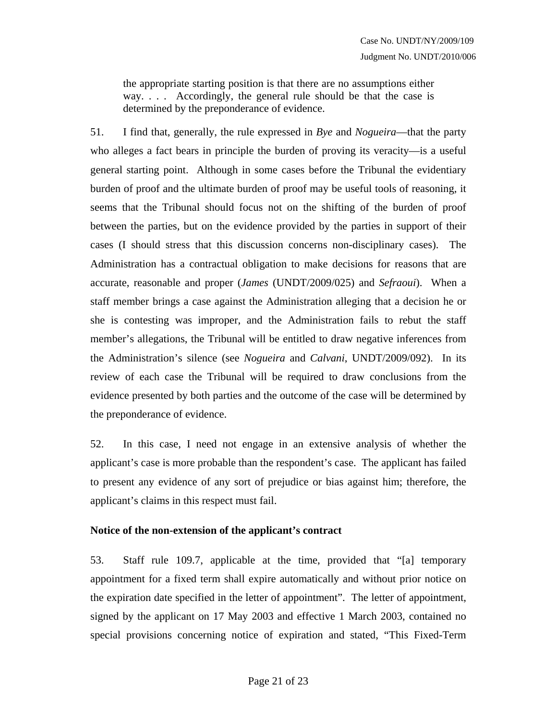the appropriate starting position is that there are no assumptions either way. . . . Accordingly, the general rule should be that the case is determined by the preponderance of evidence.

51. I find that, generally, the rule expressed in *Bye* and *Nogueira*—that the party who alleges a fact bears in principle the burden of proving its veracity—is a useful general starting point. Although in some cases before the Tribunal the evidentiary burden of proof and the ultimate burden of proof may be useful tools of reasoning, it seems that the Tribunal should focus not on the shifting of the burden of proof between the parties, but on the evidence provided by the parties in support of their cases (I should stress that this discussion concerns non-disciplinary cases). The Administration has a contractual obligation to make decisions for reasons that are accurate, reasonable and proper (*James* (UNDT/2009/025) and *Sefraoui*). When a staff member brings a case against the Administration alleging that a decision he or she is contesting was improper, and the Administration fails to rebut the staff member's allegations, the Tribunal will be entitled to draw negative inferences from the Administration's silence (see *Nogueira* and *Calvani*, UNDT/2009/092). In its review of each case the Tribunal will be required to draw conclusions from the evidence presented by both parties and the outcome of the case will be determined by the preponderance of evidence.

52. In this case, I need not engage in an extensive analysis of whether the applicant's case is more probable than the respondent's case. The applicant has failed to present any evidence of any sort of prejudice or bias against him; therefore, the applicant's claims in this respect must fail.

#### **Notice of the non-extension of the applicant's contract**

53. Staff rule 109.7, applicable at the time, provided that "[a] temporary appointment for a fixed term shall expire automatically and without prior notice on the expiration date specified in the letter of appointment". The letter of appointment, signed by the applicant on 17 May 2003 and effective 1 March 2003, contained no special provisions concerning notice of expiration and stated, "This Fixed-Term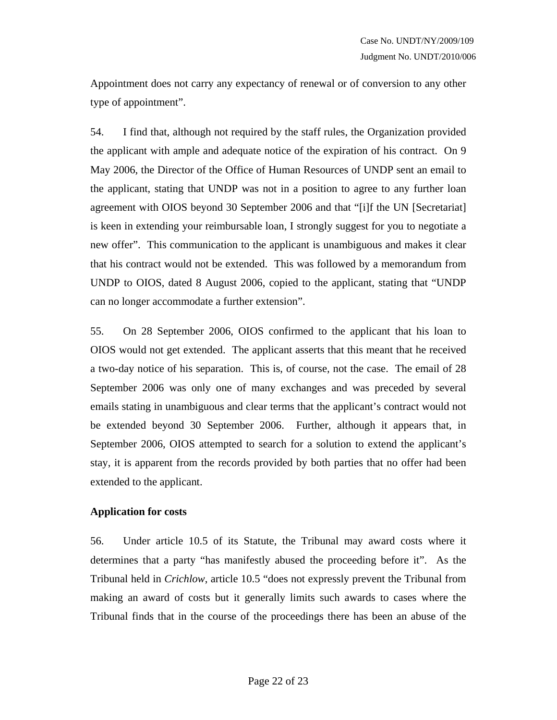Appointment does not carry any expectancy of renewal or of conversion to any other type of appointment".

54. I find that, although not required by the staff rules, the Organization provided the applicant with ample and adequate notice of the expiration of his contract. On 9 May 2006, the Director of the Office of Human Resources of UNDP sent an email to the applicant, stating that UNDP was not in a position to agree to any further loan agreement with OIOS beyond 30 September 2006 and that "[i]f the UN [Secretariat] is keen in extending your reimbursable loan, I strongly suggest for you to negotiate a new offer". This communication to the applicant is unambiguous and makes it clear that his contract would not be extended. This was followed by a memorandum from UNDP to OIOS, dated 8 August 2006, copied to the applicant, stating that "UNDP can no longer accommodate a further extension".

55. On 28 September 2006, OIOS confirmed to the applicant that his loan to OIOS would not get extended. The applicant asserts that this meant that he received a two-day notice of his separation. This is, of course, not the case. The email of 28 September 2006 was only one of many exchanges and was preceded by several emails stating in unambiguous and clear terms that the applicant's contract would not be extended beyond 30 September 2006. Further, although it appears that, in September 2006, OIOS attempted to search for a solution to extend the applicant's stay, it is apparent from the records provided by both parties that no offer had been extended to the applicant.

#### **Application for costs**

56. Under article 10.5 of its Statute, the Tribunal may award costs where it determines that a party "has manifestly abused the proceeding before it". As the Tribunal held in *Crichlow*, article 10.5 "does not expressly prevent the Tribunal from making an award of costs but it generally limits such awards to cases where the Tribunal finds that in the course of the proceedings there has been an abuse of the